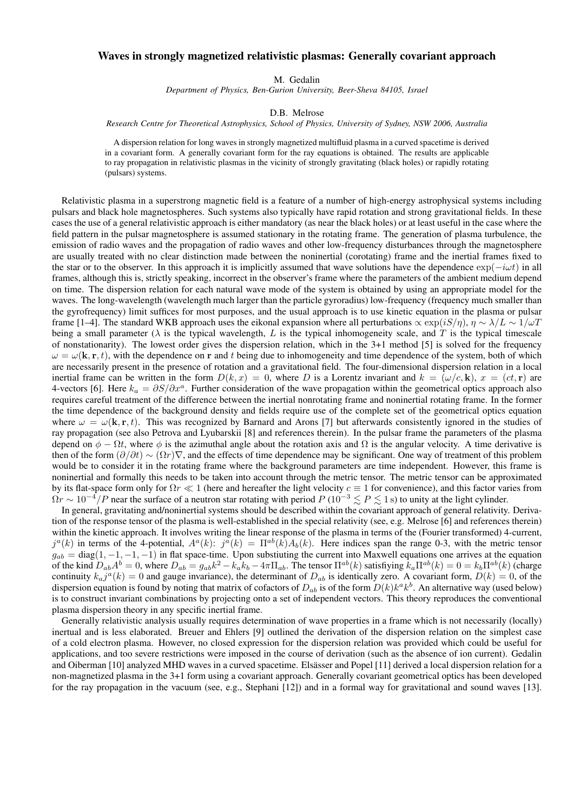## Waves in strongly magnetized relativistic plasmas: Generally covariant approach

M. Gedalin

*Department of Physics, Ben-Gurion University, Beer-Sheva 84105, Israel*

D.B. Melrose

*Research Centre for Theoretical Astrophysics, School of Physics, University of Sydney, NSW 2006, Australia*

A dispersion relation for long waves in strongly magnetized multifluid plasma in a curved spacetime is derived in a covariant form. A generally covariant form for the ray equations is obtained. The results are applicable to ray propagation in relativistic plasmas in the vicinity of strongly gravitating (black holes) or rapidly rotating (pulsars) systems.

Relativistic plasma in a superstrong magnetic field is a feature of a number of high-energy astrophysical systems including pulsars and black hole magnetospheres. Such systems also typically have rapid rotation and strong gravitational fields. In these cases the use of a general relativistic approach is either mandatory (as near the black holes) or at least useful in the case where the field pattern in the pulsar magnetosphere is assumed stationary in the rotating frame. The generation of plasma turbulence, the emission of radio waves and the propagation of radio waves and other low-frequency disturbances through the magnetosphere are usually treated with no clear distinction made between the noninertial (corotating) frame and the inertial frames fixed to the star or to the observer. In this approach it is implicitly assumed that wave solutions have the dependence  $\exp(-i\omega t)$  in all frames, although this is, strictly speaking, incorrect in the observer's frame where the parameters of the ambient medium depend on time. The dispersion relation for each natural wave mode of the system is obtained by using an appropriate model for the waves. The long-wavelength (wavelength much larger than the particle gyroradius) low-frequency (frequency much smaller than the gyrofrequency) limit suffices for most purposes, and the usual approach is to use kinetic equation in the plasma or pulsar frame [1–4]. The standard WKB approach uses the eikonal expansion where all perturbations  $\propto \exp(iS/\eta)$ ,  $\eta \sim \lambda/L \sim 1/\omega T$ being a small parameter ( $\lambda$  is the typical wavelength, L is the typical inhomogeneity scale, and T is the typical timescale of nonstationarity). The lowest order gives the dispersion relation, which in the 3+1 method [5] is solved for the frequency  $\omega = \omega(\mathbf{k}, \mathbf{r}, t)$ , with the dependence on r and t being due to inhomogeneity and time dependence of the system, both of which are necessarily present in the presence of rotation and a gravitational field. The four-dimensional dispersion relation in a local inertial frame can be written in the form  $D(k, x) = 0$ , where D is a Lorentz invariant and  $k = (\omega/c, \mathbf{k})$ ,  $x = (ct, \mathbf{r})$  are 4-vectors [6]. Here  $k_a = \partial S/\partial x^a$ . Further consideration of the wave propagation within the geometrical optics approach also requires careful treatment of the difference between the inertial nonrotating frame and noninertial rotating frame. In the former the time dependence of the background density and fields require use of the complete set of the geometrical optics equation where  $\omega = \omega(\mathbf{k}, \mathbf{r}, t)$ . This was recognized by Barnard and Arons [7] but afterwards consistently ignored in the studies of ray propagation (see also Petrova and Lyubarskii [8] and references therein). In the pulsar frame the parameters of the plasma depend on  $\phi - \Omega t$ , where  $\phi$  is the azimuthal angle about the rotation axis and  $\Omega$  is the angular velocity. A time derivative is then of the form  $(\partial/\partial t) \sim (\Omega r) \nabla$ , and the effects of time dependence may be significant. One way of treatment of this problem would be to consider it in the rotating frame where the background parameters are time independent. However, this frame is noninertial and formally this needs to be taken into account through the metric tensor. The metric tensor can be approximated by its flat-space form only for  $\Omega r \ll 1$  (here and hereafter the light velocity  $c \equiv 1$  for convenience), and this factor varies from  $\Omega r \sim 10^{-4}/P$  near the surface of a neutron star rotating with period  $P(10^{-3} \lesssim P \lesssim 1$  s) to unity at the light cylinder.

In general, gravitating and/noninertial systems should be described within the covariant approach of general relativity. Derivation of the response tensor of the plasma is well-established in the special relativity (see, e.g. Melrose [6] and references therein) within the kinetic approach. It involves writing the linear response of the plasma in terms of the (Fourier transformed) 4-current,  $j^a(k)$  in terms of the 4-potential,  $A^a(k)$ :  $j^a(k) = \Pi^{ab}(k)A_b(k)$ . Here indices span the range 0-3, with the metric tensor  $q_{ab} = \text{diag}(1, -1, -1, -1)$  in flat space-time. Upon substiuting the current into Maxwell equations one arrives at the equation of the kind  $D_{ab}A^b = 0$ , where  $D_{ab} = g_{ab}k^2 - k_a k_b - 4\pi \Pi_{ab}$ . The tensor  $\Pi^{ab}(k)$  satisfiying  $k_a \Pi^{ab}(k) = 0 = k_b \Pi^{ab}(k)$  (charge continuity  $k_a j^a(k) = 0$  and gauge invariance), the determinant of  $D_{ab}$  is identically zero. A covariant form,  $D(k) = 0$ , of the dispersion equation is found by noting that matrix of cofactors of  $D_{ab}$  is of the form  $D(k)k^ak^b$ . An alternative way (used below) is to construct invariant combinations by projecting onto a set of independent vectors. This theory reproduces the conventional plasma dispersion theory in any specific inertial frame.

Generally relativistic analysis usually requires determination of wave properties in a frame which is not necessarily (locally) inertual and is less elaborated. Breuer and Ehlers [9] outlined the derivation of the dispersion relation on the simplest case of a cold electron plasma. However, no closed expression for the dispersion relation was provided which could be useful for applications, and too severe restrictions were imposed in the course of derivation (such as the absence of ion current). Gedalin and Oiberman [10] analyzed MHD waves in a curved spacetime. Elsässer and Popel [11] derived a local dispersion relation for a non-magnetized plasma in the 3+1 form using a covariant approach. Generally covariant geometrical optics has been developed for the ray propagation in the vacuum (see, e.g., Stephani [12]) and in a formal way for gravitational and sound waves [13].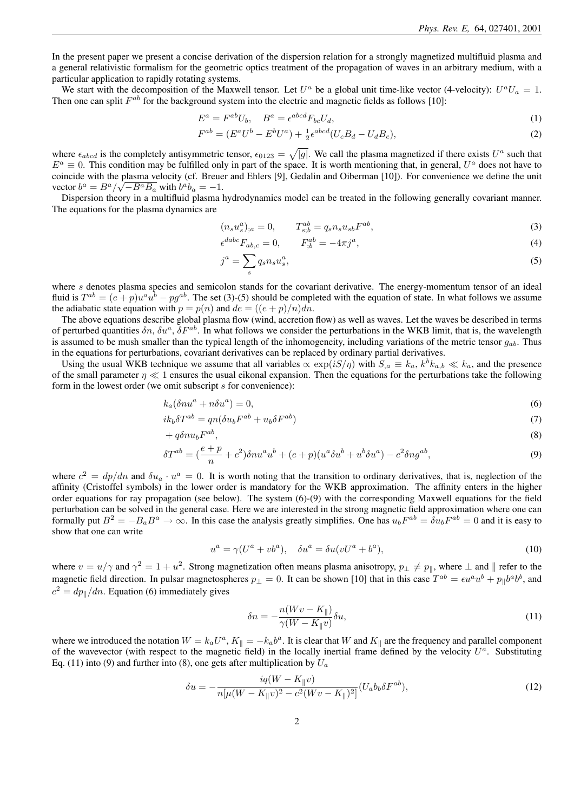In the present paper we present a concise derivation of the dispersion relation for a strongly magnetized multifluid plasma and a general relativistic formalism for the geometric optics treatment of the propagation of waves in an arbitrary medium, with a particular application to rapidly rotating systems.

We start with the decomposition of the Maxwell tensor. Let  $U^a$  be a global unit time-like vector (4-velocity):  $U^a U_a = 1$ . Then one can split  $F^{ab}$  for the background system into the electric and magnetic fields as follows [10]:

$$
E^a = F^{ab}U_b, \quad B^a = \epsilon^{abcd}F_{bc}U_d,\tag{1}
$$

$$
F^{ab} = (E^a U^b - E^b U^a) + \frac{1}{2} \epsilon^{abcd} (U_c B_d - U_d B_c),
$$
\n(2)

where  $\epsilon_{abcd}$  is the completely antisymmetric tensor,  $\epsilon_{0123} = \sqrt{|g|}$ . We call the plasma magnetized if there exists  $U^a$  such that  $E^a \equiv 0$ . This condition may be fulfilled only in part of the space. It is worth mentioning that, in general,  $U^a$  does not have to coincide with the plasma velocity (cf. Breuer and Ehlers [9], Gedalin and Oiberman [10]). For convenience we define the unit vector  $b^a = B^a / \sqrt{-B^a B_a}$  with  $b^a b_a = -1$ .

Dispersion theory in a multifluid plasma hydrodynamics model can be treated in the following generally covariant manner. The equations for the plasma dynamics are

$$
(n_s u_s^a)_{;a} = 0, \qquad T_{s,b}^{ab} = q_s n_s u_{sb} F^{ab}, \tag{3}
$$

$$
\epsilon^{dabc} F_{ab,c} = 0, \qquad F_{;b}^{ab} = -4\pi j^a,\tag{4}
$$

$$
j^a = \sum_s q_s n_s u_s^a,\tag{5}
$$

where s denotes plasma species and semicolon stands for the covariant derivative. The energy-momentum tensor of an ideal fluid is  $T^{ab} = (e+p)u^a u^b - pg^{ab}$ . The set (3)-(5) should be completed with the equation of state. In what follows we assume the adiabatic state equation with  $p = p(n)$  and  $de = ((e + p)/n)dn$ .

The above equations describe global plasma flow (wind, accretion flow) as well as waves. Let the waves be described in terms of perturbed quantities  $\delta n$ ,  $\delta u^a$ ,  $\delta F^{ab}$ . In what follows we consider the perturbations in the WKB limit, that is, the wavelength is assumed to be mush smaller than the typical length of the inhomogeneity, including variations of the metric tensor  $g_{ab}$ . Thus in the equations for perturbations, covariant derivatives can be replaced by ordinary partial derivatives.

Using the usual WKB technique we assume that all variables  $\propto \exp(iS/\eta)$  with  $S_{,a} \equiv k_a, k^b k_{a,b} \ll k_a$ , and the presence of the small parameter  $\eta \ll 1$  ensures the usual eikonal expansion. Then the equations for the perturbations take the following form in the lowest order (we omit subscript s for convenience):

$$
k_a(\delta nu^a + n\delta u^a) = 0,\t\t(6)
$$

$$
ik_b \delta T^{ab} = qn(\delta u_b F^{ab} + u_b \delta F^{ab})
$$
\n<sup>(7)</sup>

$$
+ q \delta n u_b F^{ab}, \tag{8}
$$

$$
\delta T^{ab} = \left(\frac{e+p}{n} + c^2\right) \delta n u^a u^b + (e+p)(u^a \delta u^b + u^b \delta u^a) - c^2 \delta n g^{ab},\tag{9}
$$

where  $c^2 = dp/dn$  and  $\delta u_a \cdot u^a = 0$ . It is worth noting that the transition to ordinary derivatives, that is, neglection of the affinity (Cristoffel symbols) in the lower order is mandatory for the WKB approximation. The affinity enters in the higher order equations for ray propagation (see below). The system (6)-(9) with the corresponding Maxwell equations for the field perturbation can be solved in the general case. Here we are interested in the strong magnetic field approximation where one can formally put  $B^2 = -B_a B^a \to \infty$ . In this case the analysis greatly simplifies. One has  $u_b F^{ab} = \delta u_b F^{ab} = 0$  and it is easy to show that one can write

$$
u^a = \gamma (U^a + v b^a), \quad \delta u^a = \delta u (v U^a + b^a), \tag{10}
$$

where  $v = u/\gamma$  and  $\gamma^2 = 1 + u^2$ . Strong magnetization often means plasma anisotropy,  $p_{\perp} \neq p_{\parallel}$ , where  $\perp$  and  $\parallel$  refer to the magnetic field direction. In pulsar magnetospheres  $p_{\perp} = 0$ . It can be shown [10] that in this case  $T^{ab} = \epsilon u^a u^b + p_{\parallel} b^a b^b$ , and  $c^2 = dp_{\parallel}/dn$ . Equation (6) immediately gives

$$
\delta n = -\frac{n(Wv - K_{\parallel})}{\gamma(W - K_{\parallel}v)} \delta u,\tag{11}
$$

where we introduced the notation  $W = k_a U^a$ ,  $K_{\parallel} = -k_a b^a$ . It is clear that W and  $K_{\parallel}$  are the frequency and parallel component of the wavevector (with respect to the magnetic field) in the locally inertial frame defined by the velocity  $U^a$ . Substituting Eq. (11) into (9) and further into (8), one gets after multiplication by  $U_a$ 

$$
\delta u = -\frac{i q (W - K_{\parallel} v)}{n [\mu (W - K_{\parallel} v)^2 - c^2 (W v - K_{\parallel})^2]} (U_a b_b \delta F^{ab}),\tag{12}
$$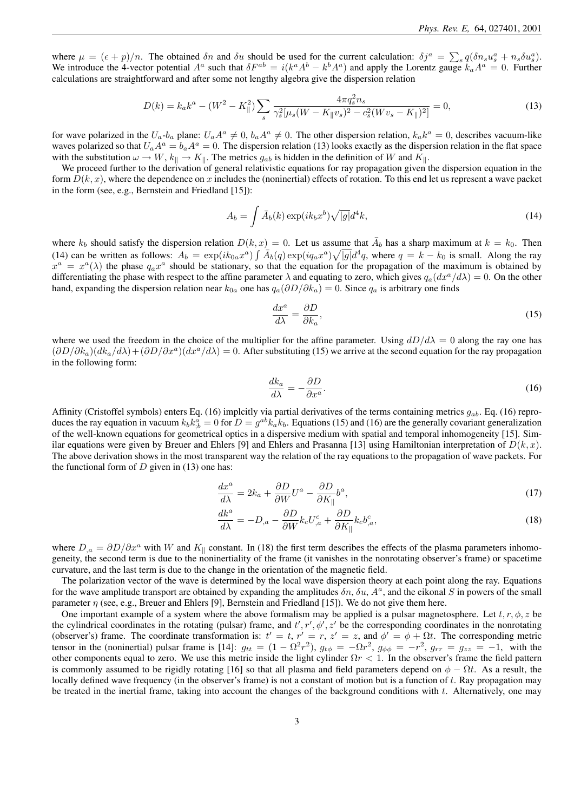where  $\mu = (\epsilon + p)/n$ . The obtained  $\delta n$  and  $\delta u$  should be used for the current calculation:  $\delta j^a = \sum_s q(\delta n_s u_s^a + n_s \delta u_s^a)$ . We introduce the 4-vector potential  $A^a$  such that  $\delta F^{ab} = i(k^a A^b - k^b A^a)$  and apply the Lorentz gauge  $k_a A^a = 0$ . Further calculations are straightforward and after some not lengthy algebra give the dispersion relation

$$
D(k) = k_a k^a - (W^2 - K_{\parallel}^2) \sum_s \frac{4\pi q_s^2 n_s}{\gamma_s^2 [\mu_s (W - K_{\parallel} v_s)^2 - c_s^2 (W v_s - K_{\parallel})^2]} = 0,
$$
\n(13)

for wave polarized in the  $U_a - b_a$  plane:  $U_aA^a \neq 0$ ,  $b_aA^a \neq 0$ . The other dispersion relation,  $k_a k^a = 0$ , describes vacuum-like waves polarized so that  $U_aA^a = b_aA^a = 0$ . The dispersion relation (13) looks exactly as the dispersion relation in the flat space with the substitution  $\omega \to W$ ,  $k_{\parallel} \to K_{\parallel}$ . The metrics  $g_{ab}$  is hidden in the definition of W and  $K_{\parallel}$ .

We proceed further to the derivation of general relativistic equations for ray propagation given the dispersion equation in the form  $D(k, x)$ , where the dependence on x includes the (noninertial) effects of rotation. To this end let us represent a wave packet in the form (see, e.g., Bernstein and Friedland [15]):

$$
A_b = \int \bar{A}_b(k) \exp(ik_b x^b) \sqrt{|g|} d^4k,
$$
\n(14)

where  $k_b$  should satisfy the dispersion relation  $D(k, x) = 0$ . Let us assume that  $\overline{A}_b$  has a sharp maximum at  $k = k_0$ . Then (14) can be written as follows:  $A_b = \exp(ik_{0a}x^a) \int \overline{A}_b(q) \exp(iq_a x^a) \sqrt{|g|} d^4q$ , where  $q = k - k_0$  is small. Along the ray  $x^a = x^a(\lambda)$  the phase  $q_a x^a$  should be stationary, so that the equation for the propagation of the maximum is obtained by differentiating the phase with respect to the affine parameter  $\lambda$  and equating to zero, which gives  $q_a(dx^a/d\lambda) = 0$ . On the other hand, expanding the dispersion relation near  $k_{0a}$  one has  $q_a(\partial D/\partial k_a) = 0$ . Since  $q_a$  is arbitrary one finds

$$
\frac{dx^a}{d\lambda} = \frac{\partial D}{\partial k_a},\tag{15}
$$

where we used the freedom in the choice of the multiplier for the affine parameter. Using  $dD/d\lambda = 0$  along the ray one has  $(\partial D/\partial k_a)(dk_a/d\lambda) + (\partial D/\partial x^a)(dx^a/d\lambda) = 0$ . After substituting (15) we arrive at the second equation for the ray propagation in the following form:

$$
\frac{dk_a}{d\lambda} = -\frac{\partial D}{\partial x^a}.\tag{16}
$$

Affinity (Cristoffel symbols) enters Eq. (16) implcitly via partial derivatives of the terms containing metrics  $g_{ab}$ . Eq. (16) reproduces the ray equation in vacuum  $k_b k_{;b}^a = 0$  for  $D = g^{ab} k_a k_b$ . Equations (15) and (16) are the generally covariant generalization of the well-known equations for geometrical optics in a dispersive medium with spatial and temporal inhomogeneity [15]. Similar equations were given by Breuer and Ehlers [9] and Ehlers and Prasanna [13] using Hamiltonian interpretation of  $D(k, x)$ . The above derivation shows in the most transparent way the relation of the ray equations to the propagation of wave packets. For the functional form of  $D$  given in (13) one has:

$$
\frac{dx^a}{d\lambda} = 2k_a + \frac{\partial D}{\partial W}U^a - \frac{\partial D}{\partial K_{\parallel}}b^a,\tag{17}
$$

$$
\frac{dk^a}{d\lambda} = -D_{,a} - \frac{\partial D}{\partial W} k_c U^c_{,a} + \frac{\partial D}{\partial K_{\parallel}} k_c b^c_{,a},\tag{18}
$$

where  $D_{a} = \partial D/\partial x^{a}$  with W and K<sub>||</sub> constant. In (18) the first term describes the effects of the plasma parameters inhomogeneity, the second term is due to the noninertiality of the frame (it vanishes in the nonrotating observer's frame) or spacetime curvature, and the last term is due to the change in the orientation of the magnetic field.

The polarization vector of the wave is determined by the local wave dispersion theory at each point along the ray. Equations for the wave amplitude transport are obtained by expanding the amplitudes  $\delta n$ ,  $\delta u$ ,  $A^a$ , and the eikonal S in powers of the small parameter  $\eta$  (see, e.g., Breuer and Ehlers [9], Bernstein and Friedland [15]). We do not give them here.

One important example of a system where the above formalism may be applied is a pulsar magnetosphere. Let  $t, r, \phi, z$  be the cylindrical coordinates in the rotating (pulsar) frame, and  $t', r', \phi', z'$  be the corresponding coordinates in the nonrotating (observer's) frame. The coordinate transformation is:  $t' = t$ ,  $r' = r$ ,  $z' = z$ , and  $\phi' = \phi + \Omega t$ . The corresponding metric tensor in the (noninertial) pulsar frame is [14]:  $g_{tt} = (1 - \Omega^2 r^2)$ ,  $g_{t\phi} = -\Omega r^2$ ,  $g_{\phi\phi} = -r^2$ ,  $g_{rr} = g_{zz} = -1$ , with the other components equal to zero. We use this metric inside the light cylinder  $\Omega r < 1$ . In the observer's frame the field pattern is commonly assumed to be rigidly rotating [16] so that all plasma and field parameters depend on  $\phi - \Omega t$ . As a result, the locally defined wave frequency (in the observer's frame) is not a constant of motion but is a function of  $t$ . Ray propagation may be treated in the inertial frame, taking into account the changes of the background conditions with  $t$ . Alternatively, one may